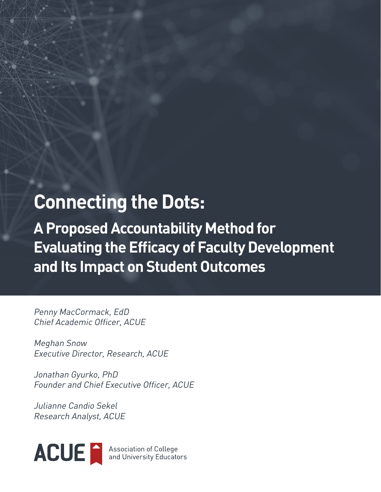# **Connecting the Dots:**

**A Proposed Accountability Method for Evaluating the Efficacy of Faculty Development and Its Impact on Student Outcomes**

Penny MacCormack, EdD Chief Academic Officer, ACUE

Meghan Snow Executive Director, Research, ACUE

Jonathan Gyurko, PhD Founder and Chief Executive Officer, ACUE

Julianne Candio Sekel Research Analyst, ACUE

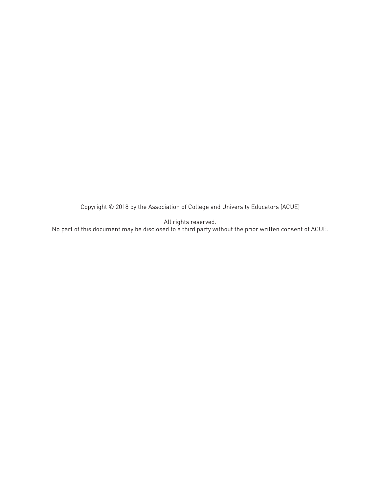Copyright © 2018 by the Association of College and University Educators (ACUE)

All rights reserved.

No part of this document may be disclosed to a third party without the prior written consent of ACUE.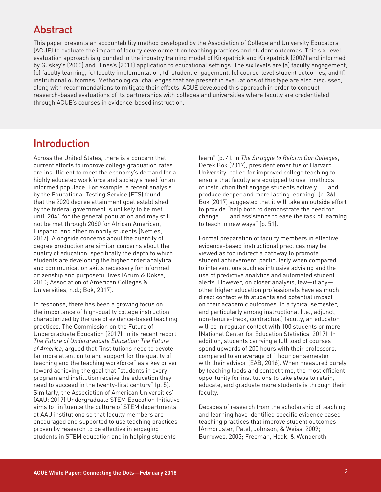# **Abstract**

This paper presents an accountability method developed by the Association of College and University Educators (ACUE) to evaluate the impact of faculty development on teaching practices and student outcomes. This six-level evaluation approach is grounded in the industry training model of Kirkpatrick and Kirkpatrick (2007) and informed by Guskey's (2000) and Hines's (2011) application to educational settings. The six levels are (a) faculty engagement, (b) faculty learning, (c) faculty implementation, (d) student engagement, (e) course-level student outcomes, and (f) institutional outcomes. Methodological challenges that are present in evaluations of this type are also discussed, along with recommendations to mitigate their effects. ACUE developed this approach in order to conduct research-based evaluations of its partnerships with colleges and universities where faculty are credentialed through ACUE's courses in evidence-based instruction.

# **Introduction**

Across the United States, there is a concern that current efforts to improve college graduation rates are insufficient to meet the economy's demand for a highly educated workforce and society's need for an informed populace. For example, a recent analysis by the Educational Testing Service (ETS) found that the 2020 degree attainment goal established by the federal government is unlikely to be met until 2041 for the general population and may still not be met through 2060 for African American, Hispanic, and other minority students (Nettles, 2017). Alongside concerns about the quantity of degree production are similar concerns about the quality of education, specifically the depth to which students are developing the higher order analytical and communication skills necessary for informed citizenship and purposeful lives (Arum & Roksa, 2010; Association of American Colleges & Universities, n.d.; Bok, 2017).

In response, there has been a growing focus on the importance of high-quality college instruction, characterized by the use of evidence-based teaching practices. The Commission on the Future of Undergraduate Education (2017), in its recent report *The Future of Undergraduate Education: The Future of America*, argued that "institutions need to devote far more attention to and support for the quality of teaching and the teaching workforce" as a key driver toward achieving the goal that "students in every program and institution receive the education they need to succeed in the twenty-first century" (p. 5). Similarly, the Association of American Universities' (AAU; 2017) Undergraduate STEM Education Initiative aims to "influence the culture of STEM departments at AAU institutions so that faculty members are encouraged and supported to use teaching practices proven by research to be effective in engaging students in STEM education and in helping students

learn" (p. 4). In *The Struggle to Reform Our Colleges*, Derek Bok (2017), president emeritus of Harvard University, called for improved college teaching to ensure that faculty are equipped to use "methods of instruction that engage students actively . . . and produce deeper and more lasting learning" (p. 36). Bok (2017) suggested that it will take an outside effort to provide "help both to demonstrate the need for change . . . and assistance to ease the task of learning to teach in new ways" (p. 51).

Formal preparation of faculty members in effective evidence-based instructional practices may be viewed as too indirect a pathway to promote student achievement, particularly when compared to interventions such as intrusive advising and the use of predictive analytics and automated student alerts. However, on closer analysis, few—if any other higher education professionals have as much direct contact with students and potential impact on their academic outcomes. In a typical semester, and particularly among instructional (i.e., adjunct, non-tenure-track, contractual) faculty, an educator will be in regular contact with 100 students or more (National Center for Education Statistics, 2017). In addition, students carrying a full load of courses spend upwards of 200 hours with their professors, compared to an average of 1 hour per semester with their advisor (EAB, 2016). When measured purely by teaching loads and contact time, the most efficient opportunity for institutions to take steps to retain, educate, and graduate more students is through their faculty.

Decades of research from the scholarship of teaching and learning have identified specific evidence based teaching practices that improve student outcomes (Armbruster, Patel, Johnson, & Weiss, 2009; Burrowes, 2003; Freeman, Haak, & Wenderoth,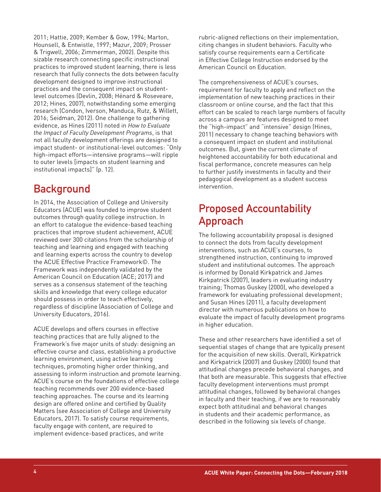2011; Hattie, 2009; Kember & Gow, 1994; Marton, Hounsell, & Entwistle, 1997; Mazur, 2009; Prosser & Trigwell, 2006; Zimmerman, 2002). Despite this sizable research connecting specific instructional practices to improved student learning, there is less research that fully connects the dots between faculty development designed to improve instructional practices and the consequent impact on studentlevel outcomes (Devlin, 2008; Hénard & Roseveare, 2012; Hines, 2007), notwithstanding some emerging research (Condon, Iverson, Manduca, Rutz, & Willett, 2016; Seidman, 2012). One challenge to gathering evidence, as Hines (2011) noted in *How to Evaluate the Impact of Faculty Development Programs*, is that not all faculty development offerings are designed to impact student- or institutional-level outcomes: "Only high-impact efforts—intensive programs—will ripple to outer levels [impacts on student learning and institutional impacts]" (p. 12).

### **Background**

In 2014, the Association of College and University Educators (ACUE) was founded to improve student outcomes through quality college instruction. In an effort to catalogue the evidence-based teaching practices that improve student achievement, ACUE reviewed over 300 citations from the scholarship of teaching and learning and engaged with teaching and learning experts across the country to develop the ACUE Effective Practice Framework©. The Framework was independently validated by the American Council on Education (ACE; 2017) and serves as a consensus statement of the teaching skills and knowledge that every college educator should possess in order to teach effectively, regardless of discipline (Association of College and University Educators, 2016).

ACUE develops and offers courses in effective teaching practices that are fully aligned to the Framework's five major units of study: designing an effective course and class, establishing a productive learning environment, using active learning techniques, promoting higher order thinking, and assessing to inform instruction and promote learning. ACUE's course on the foundations of effective college teaching recommends over 200 evidence-based teaching approaches. The course and its learning design are offered online and certified by Quality Matters (see Association of College and University Educators, 2017). To satisfy course requirements, faculty engage with content, are required to implement evidence-based practices, and write

rubric-aligned reflections on their implementation, citing changes in student behaviors. Faculty who satisfy course requirements earn a Certificate in Effective College Instruction endorsed by the American Council on Education.

The comprehensiveness of ACUE's courses, requirement for faculty to apply and reflect on the implementation of new teaching practices in their classroom or online course, and the fact that this effort can be scaled to reach large numbers of faculty across a campus are features designed to meet the "high-impact" and "intensive" design (Hines, 2011) necessary to change teaching behaviors with a consequent impact on student and institutional outcomes. But, given the current climate of heightened accountability for both educational and fiscal performance, concrete measures can help to further justify investments in faculty and their pedagogical development as a student success intervention.

# **Proposed Accountability Approach**

The following accountability proposal is designed to connect the dots from faculty development interventions, such as ACUE's courses, to strengthened instruction, continuing to improved student and institutional outcomes. The approach is informed by Donald Kirkpatrick and James Kirkpatrick (2007), leaders in evaluating industry training; Thomas Guskey (2000), who developed a framework for evaluating professional development; and Susan Hines (2011), a faculty development director with numerous publications on how to evaluate the impact of faculty development programs in higher education.

These and other researchers have identified a set of sequential stages of change that are typically present for the acquisition of new skills. Overall, Kirkpatrick and Kirkpatrick (2007) and Guskey (2000) found that attitudinal changes precede behavioral changes, and that both are measurable. This suggests that effective faculty development interventions must prompt attitudinal changes, followed by behavioral changes in faculty and their teaching, if we are to reasonably expect both attitudinal and behavioral changes in students and their academic performance, as described in the following six levels of change.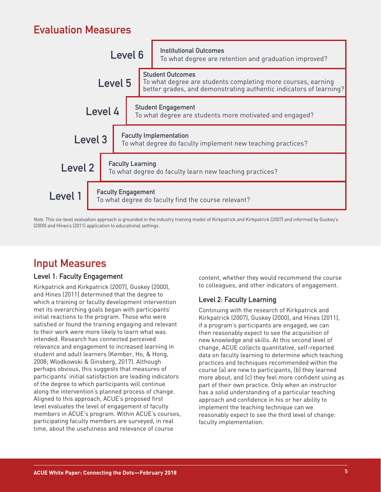# **Evaluation Measures**



*Note.* This six-level evaluation approach is grounded in the industry training model of Kirkpatrick and Kirkpatrick (2007) and informed by Guskey's (2000) and Hines's (2011) application to educational settings.

### **Input Measures**

#### **Level 1: Faculty Engagement**

Kirkpatrick and Kirkpatrick (2007), Guskey (2000), and Hines (2011) determined that the degree to which a training or faculty development intervention met its overarching goals began with participants' initial reactions to the program. Those who were satisfied or found the training engaging and relevant to their work were more likely to learn what was intended. Research has connected perceived relevance and engagement to increased learning in student and adult learners (Kember, Ho, & Hong, 2008; Wlodkowski & Ginsberg, 2017). Although perhaps obvious, this suggests that measures of participants' initial satisfaction are leading indicators of the degree to which participants will continue along the intervention's planned process of change. Aligned to this approach, ACUE's proposed first level evaluates the level of engagement of faculty members in ACUE's program. Within ACUE's courses, participating faculty members are surveyed, in real time, about the usefulness and relevance of course

content, whether they would recommend the course to colleagues, and other indicators of engagement.

#### **Level 2: Faculty Learning**

Continuing with the research of Kirkpatrick and Kirkpatrick (2007), Guskey (2000), and Hines (2011), if a program's participants are engaged, we can then reasonably expect to see the acquisition of new knowledge and skills. At this second level of change, ACUE collects quantitative, self-reported data on faculty learning to determine which teaching practices and techniques recommended within the course (a) are new to participants, (b) they learned more about, and (c) they feel more confident using as part of their own practice. Only when an instructor has a solid understanding of a particular teaching approach and confidence in his or her ability to implement the teaching technique can we reasonably expect to see the third level of change: faculty implementation.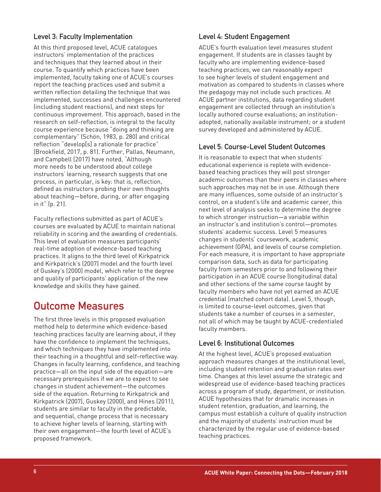#### **Level 3: Faculty Implementation**

At this third proposed level, ACUE catalogues instructors' implementation of the practices and techniques that they learned about in their course. To quantify which practices have been implemented, faculty taking one of ACUE's courses report the teaching practices used and submit a written reflection detailing the technique that was implemented, successes and challenges encountered (including student reactions), and next steps for continuous improvement. This approach, based in the research on self-reflection, is integral to the faculty course experience because "doing and thinking are complementary" (Schön, 1983, p. 280) and critical reflection "develop[s] a rationale for practice" (Brookfield, 2017, p. 81). Further, Pallas, Neumann, and Campbell (2017) have noted, "Although more needs to be understood about college instructors' learning, research suggests that one process, in particular, is key: that is, reflection, defined as instructors probing their own thoughts about teaching—before, during, or after engaging in it" (p. 21).

Faculty reflections submitted as part of ACUE's courses are evaluated by ACUE to maintain national reliability in scoring and the awarding of credentials. This level of evaluation measures participants' real-time adoption of evidence-based teaching practices. It aligns to the third level of Kirkpatrick and Kirkpatrick's (2007) model and the fourth level of Guskey's (2000) model, which refer to the degree and quality of participants' application of the new knowledge and skills they have gained.

### **Outcome Measures**

The first three levels in this proposed evaluation method help to determine which evidence-based teaching practices faculty are learning about, if they have the confidence to implement the techniques, and which techniques they have implemented into their teaching in a thoughtful and self-reflective way. Changes in faculty learning, confidence, and teaching practice—all on the input side of the equation—are necessary prerequisites if we are to expect to see changes in student achievement—the outcomes side of the equation. Returning to Kirkpatrick and Kirkpatrick (2007), Guskey (2000), and Hines (2011), students are similar to faculty in the predictable, and sequential, change process that is necessary to achieve higher levels of learning, starting with their own engagement—the fourth level of ACUE's proposed framework.

#### **Level 4: Student Engagement**

ACUE's fourth evaluation level measures student engagement. If students are in classes taught by faculty who are implementing evidence-based teaching practices, we can reasonably expect to see higher levels of student engagement and motivation as compared to students in classes where the pedagogy may not include such practices. At ACUE partner institutions, data regarding student engagement are collected through an institution's locally authored course evaluations; an institutionadopted, nationally available instrument; or a student survey developed and administered by ACUE.

#### **Level 5: Course-Level Student Outcomes**

It is reasonable to expect that when students' educational experience is replete with evidencebased teaching practices they will post stronger academic outcomes than their peers in classes where such approaches may not be in use. Although there are many influences, some outside of an instructor's control, on a student's life and academic career, this next level of analysis seeks to determine the degree to which stronger instruction—a variable within an instructor's and institution's control—promotes students' academic success. Level 5 measures changes in students' coursework, academic achievement (GPA), and levels of course completion. For each measure, it is important to have appropriate comparison data, such as data for participating faculty from semesters prior to and following their participation in an ACUE course (longitudinal data) and other sections of the same course taught by faculty members who have not yet earned an ACUE credential (matched cohort data). Level 5, though, is limited to course-level outcomes, given that students take a number of courses in a semester, not all of which may be taught by ACUE-credentialed faculty members.

#### **Level 6: Institutional Outcomes**

At the highest level, ACUE's proposed evaluation approach measures changes at the institutional level, including student retention and graduation rates over time. Changes at this level assume the strategic and widespread use of evidence-based teaching practices across a program of study, department, or institution. ACUE hypothesizes that for dramatic increases in student retention, graduation, and learning, the campus must establish a culture of quality instruction and the majority of students' instruction must be characterized by the regular use of evidence-based teaching practices.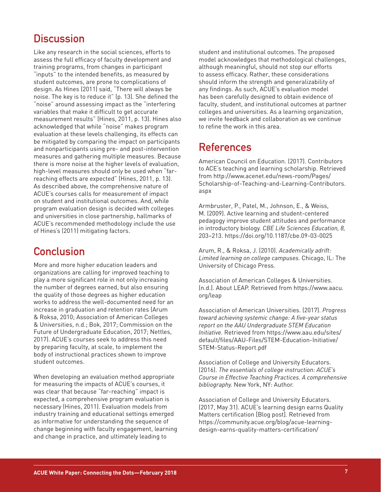### **Discussion**

Like any research in the social sciences, efforts to assess the full efficacy of faculty development and training programs, from changes in participant "inputs" to the intended benefits, as measured by student outcomes, are prone to complications of design. As Hines (2011) said, "There will always be noise. The key is to reduce it" (p. 13). She defined the "noise" around assessing impact as the "interfering variables that make it difficult to get accurate measurement results" (Hines, 2011, p. 13). Hines also acknowledged that while "noise" makes program evaluation at these levels challenging, its effects can be mitigated by comparing the impact on participants and nonparticipants using pre- and post-intervention measures and gathering multiple measures. Because there is more noise at the higher levels of evaluation, high-level measures should only be used when "farreaching effects are expected" (Hines, 2011, p. 13). As described above, the comprehensive nature of ACUE's courses calls for measurement of impact on student and institutional outcomes. And, while program evaluation design is decided with colleges and universities in close partnership, hallmarks of ACUE's recommended methodology include the use of Hines's (2011) mitigating factors.

### **Conclusion**

More and more higher education leaders and organizations are calling for improved teaching to play a more significant role in not only increasing the number of degrees earned, but also ensuring the quality of those degrees as higher education works to address the well-documented need for an increase in graduation and retention rates (Arum & Roksa, 2010; Association of American Colleges & Universities, n.d.; Bok, 2017; Commission on the Future of Undergraduate Education, 2017; Nettles, 2017). ACUE's courses seek to address this need by preparing faculty, at scale, to implement the body of instructional practices shown to improve student outcomes.

When developing an evaluation method appropriate for measuring the impacts of ACUE's courses, it was clear that because "far-reaching" impact is expected, a comprehensive program evaluation is necessary (Hines, 2011). Evaluation models from industry training and educational settings emerged as informative for understanding the sequence of change beginning with faculty engagement, learning and change in practice, and ultimately leading to

student and institutional outcomes. The proposed model acknowledges that methodological challenges, although meaningful, should not stop our efforts to assess efficacy. Rather, these considerations should inform the strength and generalizability of any findings. As such, ACUE's evaluation model has been carefully designed to obtain evidence of faculty, student, and institutional outcomes at partner colleges and universities. As a learning organization, we invite feedback and collaboration as we continue to refine the work in this area.

# **References**

American Council on Education. (2017). Contributors to ACE's teaching and learning scholarship. Retrieved from http://www.acenet.edu/news-room/Pages/ Scholarship-of-Teaching-and-Learning-Contributors. aspx

Armbruster, P., Patel, M., Johnson, E., & Weiss, M. (2009). Active learning and student-centered pedagogy improve student attitudes and performance in introductory biology. *CBE Life Sciences Education, 8,* 203–213. https://doi.org/10.1187/cbe.09-03-0025

Arum, R., & Roksa, J. (2010). *Academically adrift: Limited learning on college campuses.* Chicago, IL: The University of Chicago Press.

Association of American Colleges & Universities. (n.d.). About LEAP. Retrieved from https://www.aacu. org/leap

Association of American Universities. (2017). *Progress toward achieving systemic change: A five-year status report on the AAU Undergraduate STEM Education Initiative.* Retrieved from https://www.aau.edu/sites/ default/files/AAU-Files/STEM-Education-Initiative/ STEM-Status-Report.pdf

Association of College and University Educators. (2016). *The essentials of college instruction: ACUE's Course in Effective Teaching Practices. A comprehensive bibliography.* New York, NY: Author.

Association of College and University Educators. (2017, May 31). ACUE's learning design earns Quality Matters certification [Blog post]. Retrieved from https://community.acue.org/blog/acue-learningdesign-earns-quality-matters-certification/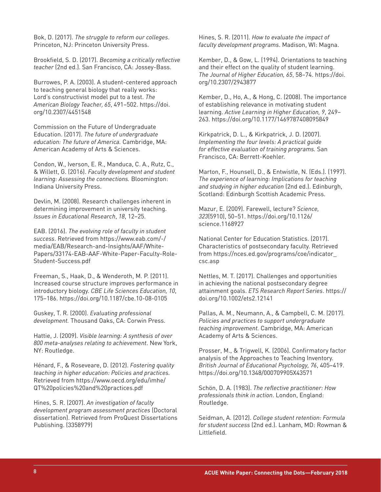Bok, D. (2017). *The struggle to reform our colleges*. Princeton, NJ: Princeton University Press.

Brookfield, S. D. (2017). *Becoming a critically reflective teacher* (2nd ed.). San Francisco, CA: Jossey-Bass.

Burrowes, P. A. (2003). A student-centered approach to teaching general biology that really works: Lord's constructivist model put to a test. *The American Biology Teacher, 65*, 491–502. https://doi. org/10.2307/4451548

Commission on the Future of Undergraduate Education. (2017). *The future of undergraduate education: The future of America.* Cambridge, MA: American Academy of Arts & Sciences.

Condon, W., Iverson, E. R., Manduca, C. A., Rutz, C., & Willett, G. (2016). *Faculty development and student learning: Assessing the connections.* Bloomington: Indiana University Press.

Devlin, M. (2008). Research challenges inherent in determining improvement in university teaching. *Issues in Educational Research*, *18*, 12–25.

EAB. (2016). *The evolving role of faculty in student success*. Retrieved from https://www.eab.com/-/ media/EAB/Research-and-Insights/AAF/White-Papers/33174-EAB-AAF-White-Paper-Faculty-Role-Student-Success.pdf

Freeman, S., Haak, D., & Wenderoth, M. P. (2011). Increased course structure improves performance in introductory biology. *CBE Life Sciences Education, 10*, 175–186. https://doi.org/10.1187/cbe.10-08-0105

Guskey, T. R. (2000). *Evaluating professional development.* Thousand Oaks, CA: Corwin Press.

Hattie, J. (2009). *Visible learning: A synthesis of over 800 meta-analyses relating to achievement*. New York, NY: Routledge.

Hénard, F., & Roseveare, D. (2012). *Fostering quality teaching in higher education: Policies and practices.* Retrieved from https://www.oecd.org/edu/imhe/ QT%20policies%20and%20practices.pdf

Hines, S. R. (2007). *An investigation of faculty development program assessment practices* (Doctoral dissertation). Retrieved from ProQuest Dissertations Publishing. (3358979)

Hines, S. R. (2011). *How to evaluate the impact of faculty development programs*. Madison, WI: Magna.

Kember, D., & Gow, L. (1994). Orientations to teaching and their effect on the quality of student learning. *The Journal of Higher Education, 65*, 58–74. https://doi. org/10.2307/2943877

Kember, D., Ho, A., & Hong, C. (2008). The importance of establishing relevance in motivating student learning. *Active Learning in Higher Education, 9*, 249– 263. https://doi.org/10.1177/1469787408095849

Kirkpatrick, D. L., & Kirkpatrick, J. D. (2007). *Implementing the four levels: A practical guide for effective evaluation of training programs.* San Francisco, CA: Berrett-Koehler.

Marton, F., Hounsell, D., & Entwistle, N. (Eds.). (1997). *The experience of learning: Implications for teaching and studying in higher education* (2nd ed.). Edinburgh, Scotland: Edinburgh Scottish Academic Press.

Mazur, E. (2009). Farewell, lecture? *Science, 323*(5910), 50–51. https://doi.org/10.1126/ science.1168927

National Center for Education Statistics. (2017). Characteristics of postsecondary faculty. Retrieved from https://nces.ed.gov/programs/coe/indicator\_ csc.asp

Nettles, M. T. (2017). Challenges and opportunities in achieving the national postsecondary degree attainment goals. *ETS Research Report Series*. https:// doi.org/10.1002/ets2.12141

Pallas, A. M., Neumann, A., & Campbell, C. M. (2017). *Policies and practices to support undergraduate teaching improvement.* Cambridge, MA: American Academy of Arts & Sciences.

Prosser, M., & Trigwell, K. (2006). Confirmatory factor analysis of the Approaches to Teaching Inventory. *British Journal of Educational Psychology, 76*, 405–419. https://doi.org/10.1348/000709905X43571

Schön, D. A. (1983). *The reflective practitioner: How professionals think in action*. London, England: Routledge.

Seidman, A. (2012). *College student retention: Formula for student success* (2nd ed.). Lanham, MD: Rowman & Littlefield.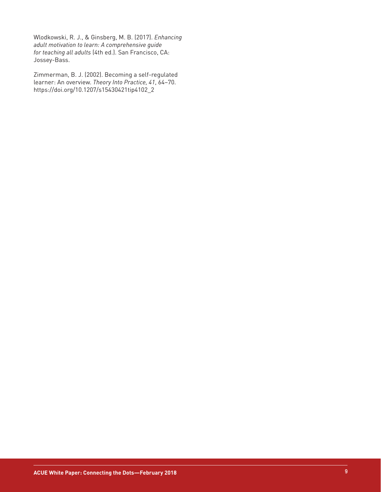Wlodkowski, R. J., & Ginsberg, M. B. (2017). *Enhancing adult motivation to learn: A comprehensive guide for teaching all adults* (4th ed.). San Francisco, CA: Jossey-Bass.

Zimmerman, B. J. (2002). Becoming a self-regulated learner: An overview. *Theory Into Practice, 41*, 64–70. https://doi.org/10.1207/s15430421tip4102\_2